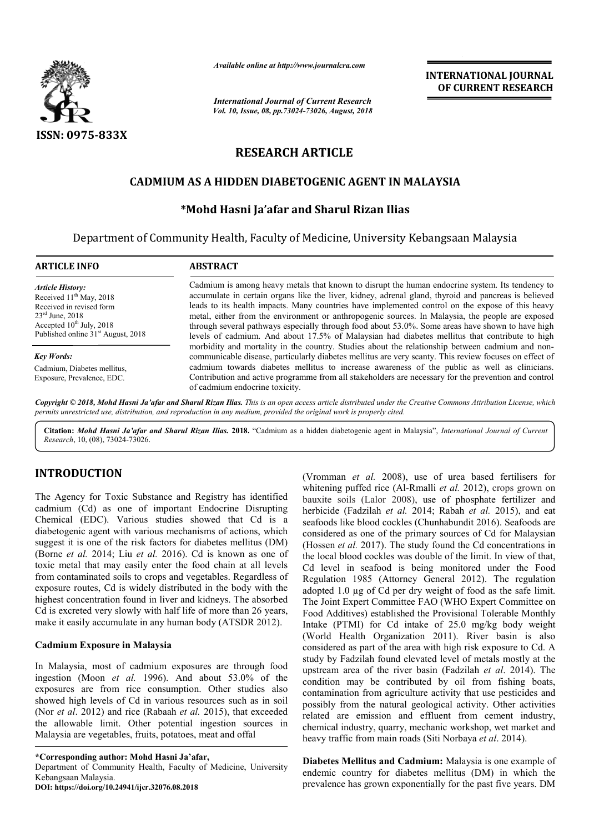

*Available online at http://www.journalcra.com*

*International Journal of Current Research Vol. 10, Issue, 08, pp.73024-73026, August, 2018* **INTERNATIONAL JOURNAL OF CURRENT RESEARCH**

# **RESEARCH ARTICLE**

## **CADMIUM AS A HIDDEN DIABETOGENIC AGENT IN MALAYSIA**

### **\*Mohd Hasni Ja'afar and Sharul Rizan Ilias**

Department of Community Health, Faculty of Medicine, University Kebangsaan Malaysia

| <b>ARTICLE INFO</b>                                                                                                                                                                                            | <b>ABSTRACT</b>                                                                                                                                                                                                                                                                                                                                                                                                                                                                                                                                                                                                                                                                                                                                                                                                                                                                                                                                                                                                                                                             |
|----------------------------------------------------------------------------------------------------------------------------------------------------------------------------------------------------------------|-----------------------------------------------------------------------------------------------------------------------------------------------------------------------------------------------------------------------------------------------------------------------------------------------------------------------------------------------------------------------------------------------------------------------------------------------------------------------------------------------------------------------------------------------------------------------------------------------------------------------------------------------------------------------------------------------------------------------------------------------------------------------------------------------------------------------------------------------------------------------------------------------------------------------------------------------------------------------------------------------------------------------------------------------------------------------------|
| <b>Article History:</b><br>Received 11 <sup>th</sup> May, 2018<br>Received in revised form<br>$23^{\text{rd}}$ June, $2018$<br>Accepted $10^{th}$ July, 2018<br>Published online 31 <sup>st</sup> August, 2018 | Cadmium is among heavy metals that known to disrupt the human endocrine system. Its tendency to<br>accumulate in certain organs like the liver, kidney, adrenal gland, thyroid and pancreas is believed<br>leads to its health impacts. Many countries have implemented control on the expose of this heavy<br>metal, either from the environment or anthropogenic sources. In Malaysia, the people are exposed<br>through several pathways especially through food about 53.0%. Some areas have shown to have high<br>levels of cadmium. And about 17.5% of Malaysian had diabetes mellitus that contribute to high<br>morbidity and mortality in the country. Studies about the relationship between cadmium and non-<br>communicable disease, particularly diabetes mellitus are very scanty. This review focuses on effect of<br>cadmium towards diabetes mellitus to increase awareness of the public as well as clinicians.<br>Contribution and active programme from all stakeholders are necessary for the prevention and control<br>of cadmium endocrine toxicity. |
| <b>Key Words:</b>                                                                                                                                                                                              |                                                                                                                                                                                                                                                                                                                                                                                                                                                                                                                                                                                                                                                                                                                                                                                                                                                                                                                                                                                                                                                                             |
| Cadmium, Diabetes mellitus,<br>Exposure, Prevalence, EDC.                                                                                                                                                      |                                                                                                                                                                                                                                                                                                                                                                                                                                                                                                                                                                                                                                                                                                                                                                                                                                                                                                                                                                                                                                                                             |

Copyright © 2018, Mohd Hasni Ja'afar and Sharul Rizan Ilias. This is an open access article distributed under the Creative Commons Attribution License, which permits unrestricted use, distribution, and reproduction in any medium, provided the original work is properly cited.

**Citation:** *Mohd Hasni Ja'afar and Sharul Rizan Ilias.* **2018.** "Cadmium as a hidden diabetogenic agent in Malaysia", *International Journal of Current Research*, 10, (08), 73024-73026.

## **INTRODUCTION**

The Agency for Toxic Substance and Registry has identified cadmium (Cd) as one of important Endocrine Disrupting Chemical (EDC). Various studies showed that Cd is a diabetogenic agent with various mechanisms of actions, which suggest it is one of the risk factors for diabetes mellitus (DM) (Borne *et al.* 2014; Liu *et al.* 2016). Cd is known as one of toxic metal that may easily enter the food chain at all levels from contaminated soils to crops and vegetables. Regardless of exposure routes, Cd is widely distributed in the body with the highest concentration found in liver and kidneys. The absorbed Cd is excreted very slowly with half life of more than 26 years, make it easily accumulate in any human body (ATSDR 2012).

#### **Cadmium Exposure in Malaysia**

In Malaysia, most of cadmium exposures are through food ingestion (Moon *et al.* 1996). And about 53.0% of the exposures are from rice consumption. Other studies also showed high levels of Cd in various resources such as in soil (Nor *et al*. 2012) and rice (Rabaah *et al.* 2015), that exceeded the allowable limit. Other potential ingestion sources in Malaysia are vegetables, fruits, potatoes, meat and offal

**\*Corresponding author: Mohd Hasni Ja'afar,**

Department of Community Health, Faculty of Medicine, University Kebangsaan Malaysia.

**DOI: https://doi.org/10.24941/ijcr.32076.08.2018**

(Vromman *et al.* 2008), use of urea based fertilisers for whitening puffed rice (Al-Rmalli *et al.* 2012), crops grown on bauxite soils (Lalor 2008), use of phosphate fertilizer and herbicide (Fadzilah *et al.* 2014; Rabah *et al.* 2015), and eat seafoods like blood cockles (Chunhabundit 2016). Seafoods are considered as one of the primary sources of Cd for Malaysian (Hossen *et al.* 2017). The study found the Cd concentrations in the local blood cockles was double of the limit. In view of that Cd level in seafood is being monitored under the Food Regulation 1985 (Attorney General 2012). The regulation adopted 1.0 µg of Cd per dry weight of food as the safe limit. The Joint Expert Committee FAO (WHO Expert Committee on Food Additives) established the Provisional Tolerable Monthly Intake (PTMI) for Cd intake of 25.0 mg/kg body weight (World Health Organization 2011). River basin is also considered as part of the area with high risk exposure to Cd. A study by Fadzilah found elevated level of metals mostly at the upstream area of the river basin (Fadzilah *et al*. 2014). The condition may be contributed by oil from fishing boats, contamination from agriculture activity that use pesticides and possibly from the natural geological activity. Other activities related are emission and effluent from cement industry, chemical industry, quarry, mechanic workshop, wet market and heavy traffic from main roads (Siti Norbaya *et al*. 2014).

**Diabetes Mellitus and Cadmium:** Malaysia is one example of endemic country for diabetes mellitus (DM) in which the prevalence has grown exponentially for the past five years. DM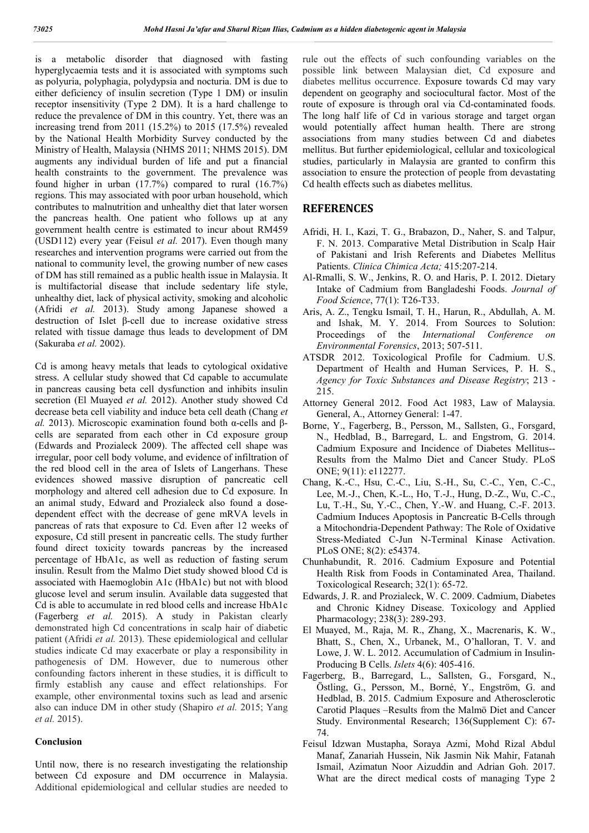is a metabolic disorder that diagnosed with fasting hyperglycaemia tests and it is associated with symptoms such as polyuria, polyphagia, polydypsia and nocturia. DM is due to either deficiency of insulin secretion (Type 1 DM) or insulin receptor insensitivity (Type 2 DM). It is a hard challenge to reduce the prevalence of DM in this country. Yet, there was an increasing trend from 2011 (15.2%) to 2015 (17.5%) revealed by the National Health Morbidity Survey conducted by the Ministry of Health, Malaysia (NHMS 2011; NHMS 2015). DM augments any individual burden of life and put a financial health constraints to the government. The prevalence was found higher in urban (17.7%) compared to rural (16.7%) regions. This may associated with poor urban household, which contributes to malnutrition and unhealthy diet that later worsen the pancreas health. One patient who follows up at any government health centre is estimated to incur about RM459 (USD112) every year (Feisul *et al.* 2017). Even though many researches and intervention programs were carried out from the national to community level, the growing number of new cases of DM has still remained as a public health issue in Malaysia. It is multifactorial disease that include sedentary life style, unhealthy diet, lack of physical activity, smoking and alcoholic (Afridi *et al.* 2013). Study among Japanese showed a destruction of Islet β-cell due to increase oxidative stress related with tissue damage thus leads to development of DM (Sakuraba *et al.* 2002).

Cd is among heavy metals that leads to cytological oxidative stress. A cellular study showed that Cd capable to accumulate in pancreas causing beta cell dysfunction and inhibits insulin secretion (El Muayed *et al.* 2012). Another study showed Cd decrease beta cell viability and induce beta cell death (Chang *et al.* 2013). Microscopic examination found both α-cells and βcells are separated from each other in Cd exposure group (Edwards and Prozialeck 2009). The affected cell shape was irregular, poor cell body volume, and evidence of infiltration of the red blood cell in the area of Islets of Langerhans. These evidences showed massive disruption of pancreatic cell morphology and altered cell adhesion due to Cd exposure. In an animal study, Edward and Prozialeck also found a dosedependent effect with the decrease of gene mRVA levels in pancreas of rats that exposure to Cd. Even after 12 weeks of exposure, Cd still present in pancreatic cells. The study further found direct toxicity towards pancreas by the increased percentage of HbA1c, as well as reduction of fasting serum insulin. Result from the Malmo Diet study showed blood Cd is associated with Haemoglobin A1c (HbA1c) but not with blood glucose level and serum insulin. Available data suggested that Cd is able to accumulate in red blood cells and increase HbA1c (Fagerberg *et al.* 2015). A study in Pakistan clearly demonstrated high Cd concentrations in scalp hair of diabetic patient (Afridi *et al.* 2013). These epidemiological and cellular studies indicate Cd may exacerbate or play a responsibility in pathogenesis of DM. However, due to numerous other confounding factors inherent in these studies, it is difficult to firmly establish any cause and effect relationships. For example, other environmental toxins such as lead and arsenic also can induce DM in other study (Shapiro *et al.* 2015; Yang *et al.* 2015).

#### **Conclusion**

Until now, there is no research investigating the relationship between Cd exposure and DM occurrence in Malaysia. Additional epidemiological and cellular studies are needed to rule out the effects of such confounding variables on the possible link between Malaysian diet, Cd exposure and diabetes mellitus occurrence. Exposure towards Cd may vary dependent on geography and sociocultural factor. Most of the route of exposure is through oral via Cd-contaminated foods. The long half life of Cd in various storage and target organ would potentially affect human health. There are strong associations from many studies between Cd and diabetes mellitus. But further epidemiological, cellular and toxicological studies, particularly in Malaysia are granted to confirm this association to ensure the protection of people from devastating Cd health effects such as diabetes mellitus.

#### **REFERENCES**

- Afridi, H. I., Kazi, T. G., Brabazon, D., Naher, S. and Talpur, F. N. 2013. Comparative Metal Distribution in Scalp Hair of Pakistani and Irish Referents and Diabetes Mellitus Patients. *Clinica Chimica Acta;* 415:207-214.
- Al-Rmalli, S. W., Jenkins, R. O. and Haris, P. I. 2012. Dietary Intake of Cadmium from Bangladeshi Foods. *Journal of Food Science*, 77(1): T26-T33.
- Aris, A. Z., Tengku Ismail, T. H., Harun, R., Abdullah, A. M. and Ishak, M. Y. 2014. From Sources to Solution: Proceedings of the *International Conference on Environmental Forensics*, 2013; 507-511.
- ATSDR 2012. Toxicological Profile for Cadmium. U.S. Department of Health and Human Services, P. H. S., *Agency for Toxic Substances and Disease Registry*; 213 - 215.
- Attorney General 2012. Food Act 1983, Law of Malaysia. General, A., Attorney General: 1-47.
- Borne, Y., Fagerberg, B., Persson, M., Sallsten, G., Forsgard, N., Hedblad, B., Barregard, L. and Engstrom, G. 2014. Cadmium Exposure and Incidence of Diabetes Mellitus-- Results from the Malmo Diet and Cancer Study. PLoS ONE; 9(11): e112277.
- Chang, K.-C., Hsu, C.-C., Liu, S.-H., Su, C.-C., Yen, C.-C., Lee, M.-J., Chen, K.-L., Ho, T.-J., Hung, D.-Z., Wu, C.-C., Lu, T.-H., Su, Y.-C., Chen, Y.-W. and Huang, C.-F. 2013. Cadmium Induces Apoptosis in Pancreatic Β-Cells through a Mitochondria-Dependent Pathway: The Role of Oxidative Stress-Mediated C-Jun N-Terminal Kinase Activation. PLoS ONE; 8(2): e54374.
- Chunhabundit, R. 2016. Cadmium Exposure and Potential Health Risk from Foods in Contaminated Area, Thailand. Toxicological Research; 32(1): 65-72.
- Edwards, J. R. and Prozialeck, W. C. 2009. Cadmium, Diabetes and Chronic Kidney Disease. Toxicology and Applied Pharmacology; 238(3): 289-293.
- El Muayed, M., Raja, M. R., Zhang, X., Macrenaris, K. W., Bhatt, S., Chen, X., Urbanek, M., O'halloran, T. V. and Lowe, J. W. L. 2012. Accumulation of Cadmium in Insulin-Producing Β Cells. *Islets* 4(6): 405-416.
- Fagerberg, B., Barregard, L., Sallsten, G., Forsgard, N., Östling, G., Persson, M., Borné, Y., Engström, G. and Hedblad, B. 2015. Cadmium Exposure and Atherosclerotic Carotid Plaques –Results from the Malmö Diet and Cancer Study. Environmental Research; 136(Supplement C): 67- 74.
- Feisul Idzwan Mustapha, Soraya Azmi, Mohd Rizal Abdul Manaf, Zanariah Hussein, Nik Jasmin Nik Mahir, Fatanah Ismail, Azimatun Noor Aizuddin and Adrian Goh. 2017. What are the direct medical costs of managing Type 2